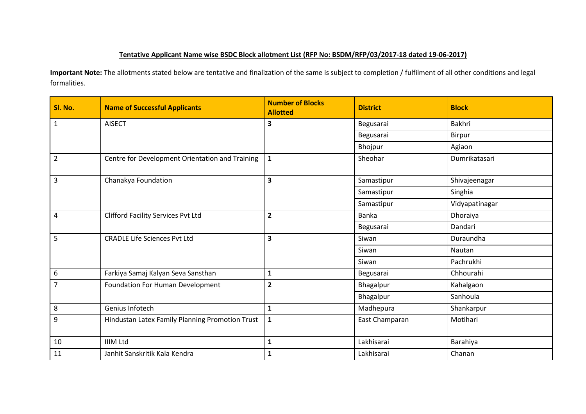## **Tentative Applicant Name wise BSDC Block allotment List (RFP No: BSDM/RFP/03/2017-18 dated 19-06-2017)**

**Important Note:** The allotments stated below are tentative and finalization of the same is subject to completion / fulfilment of all other conditions and legal formalities.

| Sl. No.        | <b>Name of Successful Applicants</b>            | <b>Number of Blocks</b><br><b>Allotted</b> | <b>District</b> | <b>Block</b>   |
|----------------|-------------------------------------------------|--------------------------------------------|-----------------|----------------|
| $\mathbf{1}$   | <b>AISECT</b>                                   | 3                                          | Begusarai       | Bakhri         |
|                |                                                 |                                            | Begusarai       | Birpur         |
|                |                                                 |                                            | Bhojpur         | Agiaon         |
| $\overline{2}$ | Centre for Development Orientation and Training | $\mathbf{1}$                               | Sheohar         | Dumrikatasari  |
| 3              | Chanakya Foundation                             | $\overline{\mathbf{3}}$                    | Samastipur      | Shivajeenagar  |
|                |                                                 |                                            | Samastipur      | Singhia        |
|                |                                                 |                                            | Samastipur      | Vidyapatinagar |
| $\overline{4}$ | <b>Clifford Facility Services Pvt Ltd</b>       | $\overline{\mathbf{2}}$                    | <b>Banka</b>    | Dhoraiya       |
|                |                                                 |                                            | Begusarai       | Dandari        |
| 5              | <b>CRADLE Life Sciences Pvt Ltd</b>             | $\overline{\mathbf{3}}$                    | Siwan           | Duraundha      |
|                |                                                 |                                            | Siwan           | Nautan         |
|                |                                                 |                                            | Siwan           | Pachrukhi      |
| 6              | Farkiya Samaj Kalyan Seva Sansthan              | $\mathbf{1}$                               | Begusarai       | Chhourahi      |
| $\overline{7}$ | Foundation For Human Development                | $\overline{2}$                             | Bhagalpur       | Kahalgaon      |
|                |                                                 |                                            | Bhagalpur       | Sanhoula       |
| 8              | Genius Infotech                                 | $\mathbf{1}$                               | Madhepura       | Shankarpur     |
| 9              | Hindustan Latex Family Planning Promotion Trust | $\mathbf{1}$                               | East Champaran  | Motihari       |
| 10             | <b>IIIM Ltd</b>                                 | $\mathbf{1}$                               | Lakhisarai      | Barahiya       |
| 11             | Janhit Sanskritik Kala Kendra                   | $\mathbf{1}$                               | Lakhisarai      | Chanan         |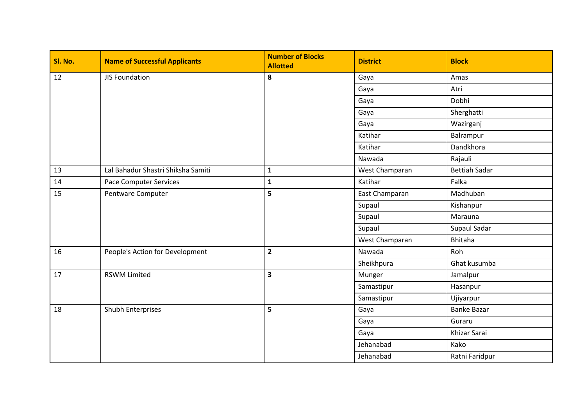| Sl. No. | <b>Name of Successful Applicants</b> | <b>Number of Blocks</b><br><b>Allotted</b> | <b>District</b> | <b>Block</b>         |
|---------|--------------------------------------|--------------------------------------------|-----------------|----------------------|
| 12      | <b>JIS Foundation</b>                | 8                                          | Gaya            | Amas                 |
|         |                                      |                                            | Gaya            | Atri                 |
|         |                                      |                                            | Gaya            | Dobhi                |
|         |                                      |                                            | Gaya            | Sherghatti           |
|         |                                      |                                            | Gaya            | Wazirganj            |
|         |                                      |                                            | Katihar         | Balrampur            |
|         |                                      |                                            | Katihar         | Dandkhora            |
|         |                                      |                                            | Nawada          | Rajauli              |
| 13      | Lal Bahadur Shastri Shiksha Samiti   | $\mathbf{1}$                               | West Champaran  | <b>Bettiah Sadar</b> |
| 14      | <b>Pace Computer Services</b>        | $\mathbf{1}$                               | Katihar         | Falka                |
| 15      | Pentware Computer                    | 5                                          | East Champaran  | Madhuban             |
|         |                                      |                                            | Supaul          | Kishanpur            |
|         |                                      |                                            | Supaul          | Marauna              |
|         |                                      |                                            | Supaul          | Supaul Sadar         |
|         |                                      |                                            | West Champaran  | <b>Bhitaha</b>       |
| 16      | People's Action for Development      | $\overline{2}$                             | Nawada          | Roh                  |
|         |                                      |                                            | Sheikhpura      | Ghat kusumba         |
| 17      | <b>RSWM Limited</b>                  | $\overline{\mathbf{3}}$                    | Munger          | Jamalpur             |
|         |                                      |                                            | Samastipur      | Hasanpur             |
|         |                                      |                                            | Samastipur      | Ujiyarpur            |
| 18      | Shubh Enterprises                    | 5                                          | Gaya            | <b>Banke Bazar</b>   |
|         |                                      |                                            | Gaya            | Guraru               |
|         |                                      |                                            | Gaya            | Khizar Sarai         |
|         |                                      |                                            | Jehanabad       | Kako                 |
|         |                                      |                                            | Jehanabad       | Ratni Faridpur       |